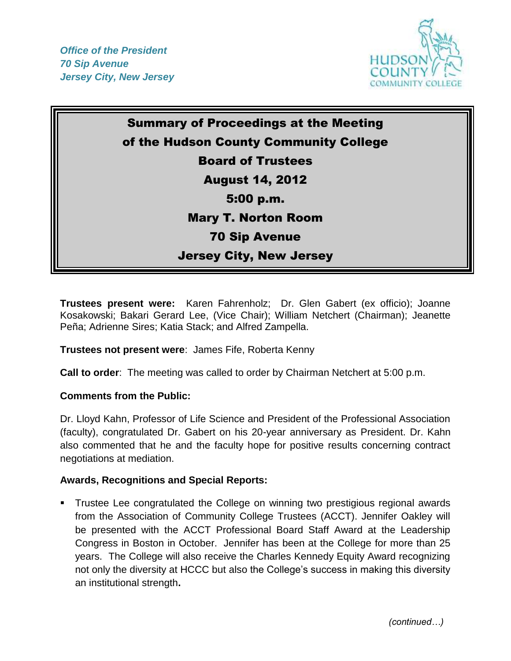

## Summary of Proceedings at the Meeting of the Hudson County Community College Board of Trustees August 14, 2012 5:00 p.m. Mary T. Norton Room 70 Sip Avenue Jersey City, New Jersey

**Trustees present were:** Karen Fahrenholz; Dr. Glen Gabert (ex officio); Joanne Kosakowski; Bakari Gerard Lee, (Vice Chair); William Netchert (Chairman); Jeanette Peña; Adrienne Sires; Katia Stack; and Alfred Zampella.

## **Trustees not present were**: James Fife, Roberta Kenny

**Call to order**: The meeting was called to order by Chairman Netchert at 5:00 p.m.

## **Comments from the Public:**

Dr. Lloyd Kahn, Professor of Life Science and President of the Professional Association (faculty), congratulated Dr. Gabert on his 20-year anniversary as President. Dr. Kahn also commented that he and the faculty hope for positive results concerning contract negotiations at mediation.

## **Awards, Recognitions and Special Reports:**

 Trustee Lee congratulated the College on winning two prestigious regional awards from the Association of Community College Trustees (ACCT). Jennifer Oakley will be presented with the ACCT Professional Board Staff Award at the Leadership Congress in Boston in October. Jennifer has been at the College for more than 25 years. The College will also receive the Charles Kennedy Equity Award recognizing not only the diversity at HCCC but also the College's success in making this diversity an institutional strength**.**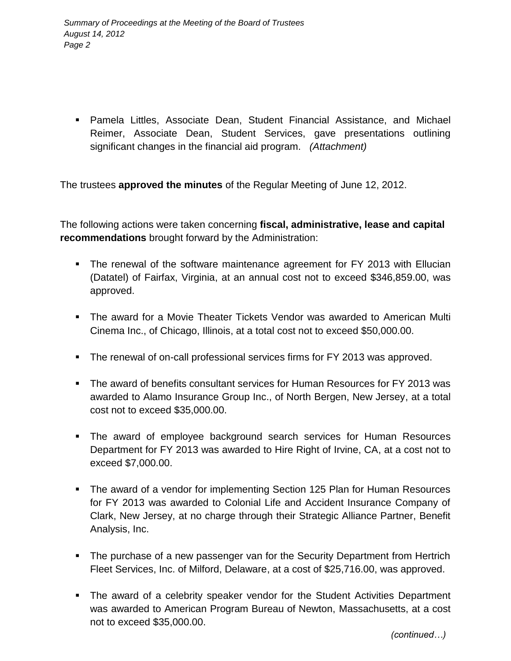Pamela Littles, Associate Dean, Student Financial Assistance, and Michael Reimer, Associate Dean, Student Services, gave presentations outlining significant changes in the financial aid program. *(Attachment)*

The trustees **approved the minutes** of the Regular Meeting of June 12, 2012.

The following actions were taken concerning **fiscal, administrative, lease and capital recommendations** brought forward by the Administration:

- The renewal of the software maintenance agreement for FY 2013 with Ellucian (Datatel) of Fairfax, Virginia, at an annual cost not to exceed \$346,859.00, was approved.
- The award for a Movie Theater Tickets Vendor was awarded to American Multi Cinema Inc., of Chicago, Illinois, at a total cost not to exceed \$50,000.00.
- **The renewal of on-call professional services firms for FY 2013 was approved.**
- The award of benefits consultant services for Human Resources for FY 2013 was awarded to Alamo Insurance Group Inc., of North Bergen, New Jersey, at a total cost not to exceed \$35,000.00.
- The award of employee background search services for Human Resources Department for FY 2013 was awarded to Hire Right of Irvine, CA, at a cost not to exceed \$7,000.00.
- The award of a vendor for implementing Section 125 Plan for Human Resources for FY 2013 was awarded to Colonial Life and Accident Insurance Company of Clark, New Jersey, at no charge through their Strategic Alliance Partner, Benefit Analysis, Inc.
- The purchase of a new passenger van for the Security Department from Hertrich Fleet Services, Inc. of Milford, Delaware, at a cost of \$25,716.00, was approved.
- The award of a celebrity speaker vendor for the Student Activities Department was awarded to American Program Bureau of Newton, Massachusetts, at a cost not to exceed \$35,000.00.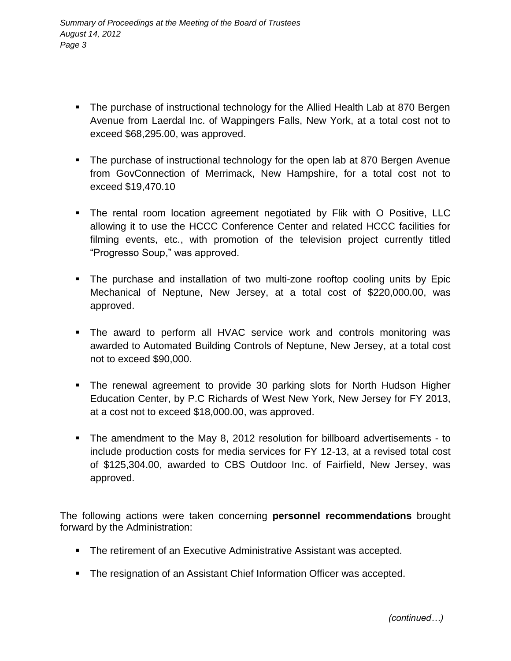- The purchase of instructional technology for the Allied Health Lab at 870 Bergen Avenue from Laerdal Inc. of Wappingers Falls, New York, at a total cost not to exceed \$68,295.00, was approved.
- The purchase of instructional technology for the open lab at 870 Bergen Avenue from GovConnection of Merrimack, New Hampshire, for a total cost not to exceed \$19,470.10
- The rental room location agreement negotiated by Flik with O Positive, LLC allowing it to use the HCCC Conference Center and related HCCC facilities for filming events, etc., with promotion of the television project currently titled "Progresso Soup," was approved.
- The purchase and installation of two multi-zone rooftop cooling units by Epic Mechanical of Neptune, New Jersey, at a total cost of \$220,000.00, was approved.
- The award to perform all HVAC service work and controls monitoring was awarded to Automated Building Controls of Neptune, New Jersey, at a total cost not to exceed \$90,000.
- The renewal agreement to provide 30 parking slots for North Hudson Higher Education Center, by P.C Richards of West New York, New Jersey for FY 2013, at a cost not to exceed \$18,000.00, was approved.
- The amendment to the May 8, 2012 resolution for billboard advertisements to include production costs for media services for FY 12-13, at a revised total cost of \$125,304.00, awarded to CBS Outdoor Inc. of Fairfield, New Jersey, was approved.

The following actions were taken concerning **personnel recommendations** brought forward by the Administration:

- **The retirement of an Executive Administrative Assistant was accepted.**
- The resignation of an Assistant Chief Information Officer was accepted.